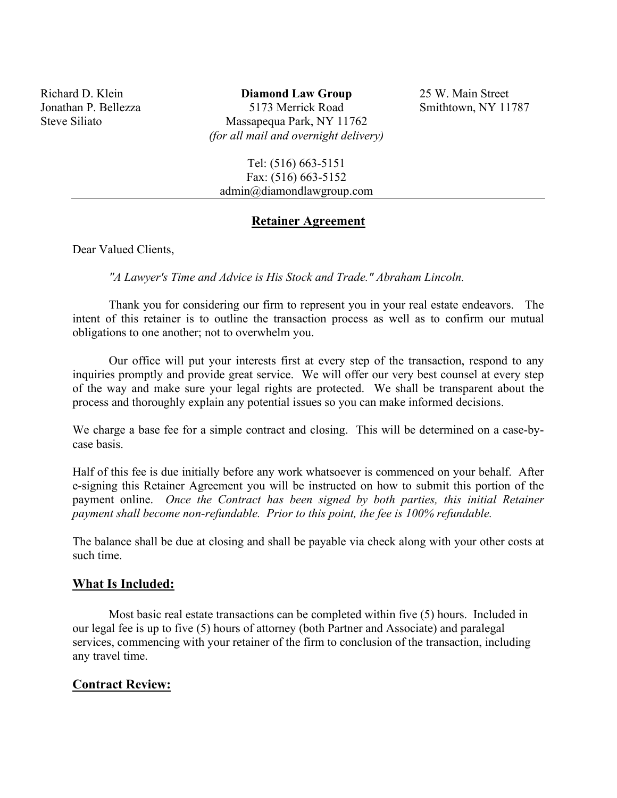Richard D. Klein Jonathan P. Bellezza Steve Siliato

**Diamond Law Group** 5173 Merrick Road Massapequa Park, NY 11762 *(for all mail and overnight delivery)* 

25 W. Main Street Smithtown, NY 11787

Tel: (516) 663-5151 Fax: (516) 663-5152 admin@diamondlawgroup.com

#### **Retainer Agreement**

Dear Valued Clients,

*"A Lawyer's Time and Advice is His Stock and Trade." Abraham Lincoln.* 

Thank you for considering our firm to represent you in your real estate endeavors. The intent of this retainer is to outline the transaction process as well as to confirm our mutual obligations to one another; not to overwhelm you.

Our office will put your interests first at every step of the transaction, respond to any inquiries promptly and provide great service. We will offer our very best counsel at every step of the way and make sure your legal rights are protected. We shall be transparent about the process and thoroughly explain any potential issues so you can make informed decisions.

We charge a base fee for a simple contract and closing. This will be determined on a case-bycase basis.

Half of this fee is due initially before any work whatsoever is commenced on your behalf. After e-signing this Retainer Agreement you will be instructed on how to submit this portion of the payment online. *Once the Contract has been signed by both parties, this initial Retainer payment shall become non-refundable. Prior to this point, the fee is 100% refundable.* 

The balance shall be due at closing and shall be payable via check along with your other costs at such time.

#### **What Is Included:**

Most basic real estate transactions can be completed within five (5) hours. Included in our legal fee is up to five (5) hours of attorney (both Partner and Associate) and paralegal services, commencing with your retainer of the firm to conclusion of the transaction, including any travel time.

#### **Contract Review:**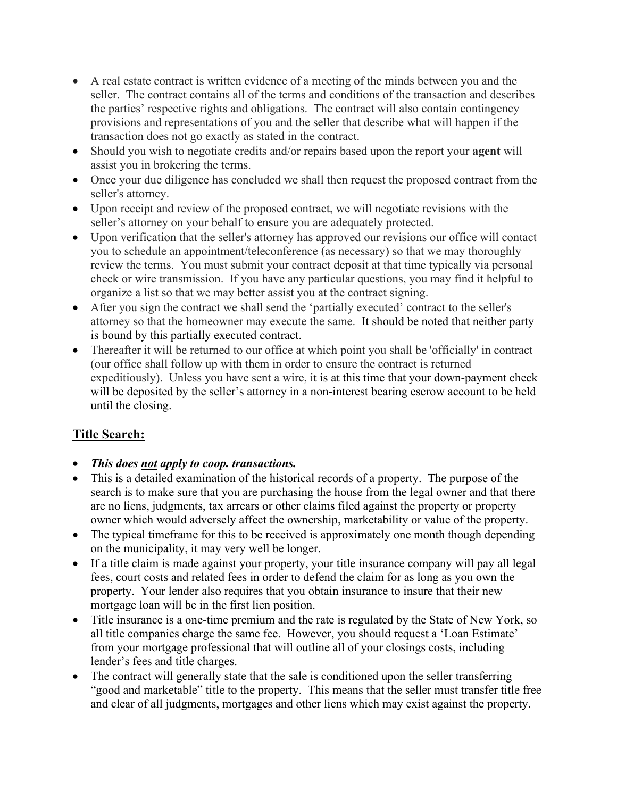- A real estate contract is written evidence of a meeting of the minds between you and the seller. The contract contains all of the terms and conditions of the transaction and describes the parties' respective rights and obligations. The contract will also contain contingency provisions and representations of you and the seller that describe what will happen if the transaction does not go exactly as stated in the contract.
- Should you wish to negotiate credits and/or repairs based upon the report your **agent** will assist you in brokering the terms.
- Once your due diligence has concluded we shall then request the proposed contract from the seller's attorney.
- Upon receipt and review of the proposed contract, we will negotiate revisions with the seller's attorney on your behalf to ensure you are adequately protected.
- Upon verification that the seller's attorney has approved our revisions our office will contact you to schedule an appointment/teleconference (as necessary) so that we may thoroughly review the terms. You must submit your contract deposit at that time typically via personal check or wire transmission. If you have any particular questions, you may find it helpful to organize a list so that we may better assist you at the contract signing.
- After you sign the contract we shall send the 'partially executed' contract to the seller's attorney so that the homeowner may execute the same. It should be noted that neither party is bound by this partially executed contract.
- Thereafter it will be returned to our office at which point you shall be 'officially' in contract (our office shall follow up with them in order to ensure the contract is returned expeditiously). Unless you have sent a wire, it is at this time that your down-payment check will be deposited by the seller's attorney in a non-interest bearing escrow account to be held until the closing.

# **Title Search:**

- *This does not apply to coop. transactions.*
- This is a detailed examination of the historical records of a property. The purpose of the search is to make sure that you are purchasing the house from the legal owner and that there are no liens, judgments, tax arrears or other claims filed against the property or property owner which would adversely affect the ownership, marketability or value of the property.
- The typical timeframe for this to be received is approximately one month though depending on the municipality, it may very well be longer.
- If a title claim is made against your property, your title insurance company will pay all legal fees, court costs and related fees in order to defend the claim for as long as you own the property. Your lender also requires that you obtain insurance to insure that their new mortgage loan will be in the first lien position.
- Title insurance is a one-time premium and the rate is regulated by the State of New York, so all title companies charge the same fee. However, you should request a 'Loan Estimate' from your mortgage professional that will outline all of your closings costs, including lender's fees and title charges.
- The contract will generally state that the sale is conditioned upon the seller transferring "good and marketable" title to the property. This means that the seller must transfer title free and clear of all judgments, mortgages and other liens which may exist against the property.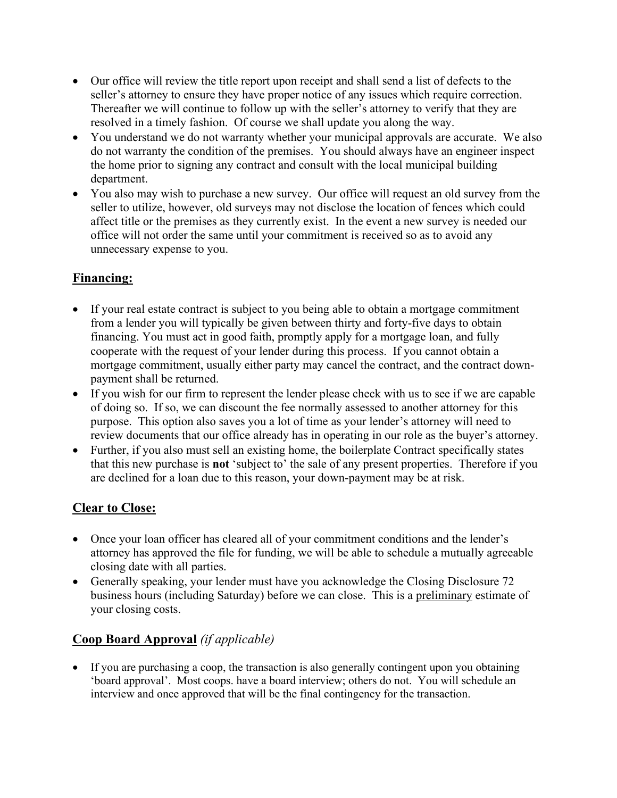- Our office will review the title report upon receipt and shall send a list of defects to the seller's attorney to ensure they have proper notice of any issues which require correction. Thereafter we will continue to follow up with the seller's attorney to verify that they are resolved in a timely fashion. Of course we shall update you along the way.
- You understand we do not warranty whether your municipal approvals are accurate. We also do not warranty the condition of the premises. You should always have an engineer inspect the home prior to signing any contract and consult with the local municipal building department.
- You also may wish to purchase a new survey. Our office will request an old survey from the seller to utilize, however, old surveys may not disclose the location of fences which could affect title or the premises as they currently exist. In the event a new survey is needed our office will not order the same until your commitment is received so as to avoid any unnecessary expense to you.

## **Financing:**

- If your real estate contract is subject to you being able to obtain a mortgage commitment from a lender you will typically be given between thirty and forty-five days to obtain financing. You must act in good faith, promptly apply for a mortgage loan, and fully cooperate with the request of your lender during this process. If you cannot obtain a mortgage commitment, usually either party may cancel the contract, and the contract downpayment shall be returned.
- If you wish for our firm to represent the lender please check with us to see if we are capable of doing so. If so, we can discount the fee normally assessed to another attorney for this purpose. This option also saves you a lot of time as your lender's attorney will need to review documents that our office already has in operating in our role as the buyer's attorney.
- Further, if you also must sell an existing home, the boilerplate Contract specifically states that this new purchase is **not** 'subject to' the sale of any present properties. Therefore if you are declined for a loan due to this reason, your down-payment may be at risk.

## **Clear to Close:**

- Once your loan officer has cleared all of your commitment conditions and the lender's attorney has approved the file for funding, we will be able to schedule a mutually agreeable closing date with all parties.
- Generally speaking, your lender must have you acknowledge the Closing Disclosure 72 business hours (including Saturday) before we can close. This is a preliminary estimate of your closing costs.

# **Coop Board Approval** *(if applicable)*

• If you are purchasing a coop, the transaction is also generally contingent upon you obtaining 'board approval'. Most coops. have a board interview; others do not. You will schedule an interview and once approved that will be the final contingency for the transaction.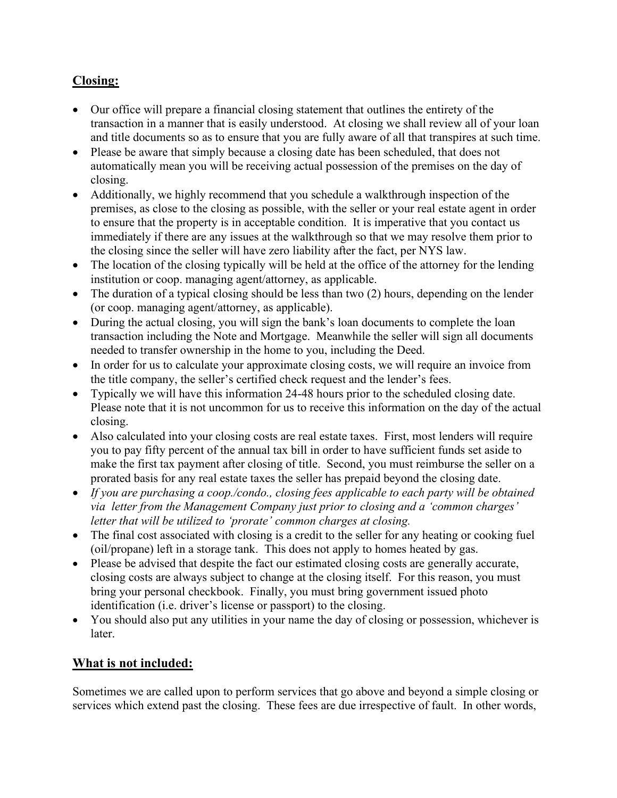## **Closing:**

- Our office will prepare a financial closing statement that outlines the entirety of the transaction in a manner that is easily understood. At closing we shall review all of your loan and title documents so as to ensure that you are fully aware of all that transpires at such time.
- Please be aware that simply because a closing date has been scheduled, that does not automatically mean you will be receiving actual possession of the premises on the day of closing.
- Additionally, we highly recommend that you schedule a walkthrough inspection of the premises, as close to the closing as possible, with the seller or your real estate agent in order to ensure that the property is in acceptable condition. It is imperative that you contact us immediately if there are any issues at the walkthrough so that we may resolve them prior to the closing since the seller will have zero liability after the fact, per NYS law.
- The location of the closing typically will be held at the office of the attorney for the lending institution or coop. managing agent/attorney, as applicable.
- The duration of a typical closing should be less than two (2) hours, depending on the lender (or coop. managing agent/attorney, as applicable).
- During the actual closing, you will sign the bank's loan documents to complete the loan transaction including the Note and Mortgage. Meanwhile the seller will sign all documents needed to transfer ownership in the home to you, including the Deed.
- In order for us to calculate your approximate closing costs, we will require an invoice from the title company, the seller's certified check request and the lender's fees.
- Typically we will have this information 24-48 hours prior to the scheduled closing date. Please note that it is not uncommon for us to receive this information on the day of the actual closing.
- Also calculated into your closing costs are real estate taxes. First, most lenders will require you to pay fifty percent of the annual tax bill in order to have sufficient funds set aside to make the first tax payment after closing of title. Second, you must reimburse the seller on a prorated basis for any real estate taxes the seller has prepaid beyond the closing date.
- *If you are purchasing a coop./condo., closing fees applicable to each party will be obtained via letter from the Management Company just prior to closing and a 'common charges' letter that will be utilized to 'prorate' common charges at closing.*
- The final cost associated with closing is a credit to the seller for any heating or cooking fuel (oil/propane) left in a storage tank. This does not apply to homes heated by gas.
- Please be advised that despite the fact our estimated closing costs are generally accurate, closing costs are always subject to change at the closing itself. For this reason, you must bring your personal checkbook. Finally, you must bring government issued photo identification (i.e. driver's license or passport) to the closing.
- You should also put any utilities in your name the day of closing or possession, whichever is later.

## **What is not included:**

Sometimes we are called upon to perform services that go above and beyond a simple closing or services which extend past the closing. These fees are due irrespective of fault. In other words,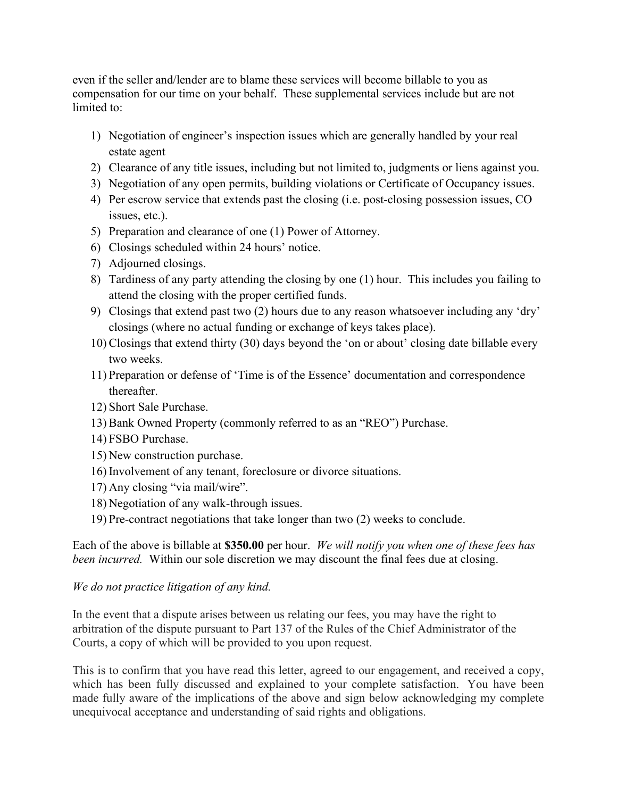even if the seller and/lender are to blame these services will become billable to you as compensation for our time on your behalf. These supplemental services include but are not limited to:

- 1) Negotiation of engineer's inspection issues which are generally handled by your real estate agent
- 2) Clearance of any title issues, including but not limited to, judgments or liens against you.
- 3) Negotiation of any open permits, building violations or Certificate of Occupancy issues.
- 4) Per escrow service that extends past the closing (i.e. post-closing possession issues, CO issues, etc.).
- 5) Preparation and clearance of one (1) Power of Attorney.
- 6) Closings scheduled within 24 hours' notice.
- 7) Adjourned closings.
- 8) Tardiness of any party attending the closing by one (1) hour. This includes you failing to attend the closing with the proper certified funds.
- 9) Closings that extend past two (2) hours due to any reason whatsoever including any 'dry' closings (where no actual funding or exchange of keys takes place).
- 10) Closings that extend thirty (30) days beyond the 'on or about' closing date billable every two weeks.
- 11) Preparation or defense of 'Time is of the Essence' documentation and correspondence thereafter.
- 12) Short Sale Purchase.
- 13) Bank Owned Property (commonly referred to as an "REO") Purchase.
- 14) FSBO Purchase.
- 15) New construction purchase.
- 16) Involvement of any tenant, foreclosure or divorce situations.
- 17) Any closing "via mail/wire".
- 18) Negotiation of any walk-through issues.
- 19) Pre-contract negotiations that take longer than two (2) weeks to conclude.

Each of the above is billable at **\$350.00** per hour. *We will notify you when one of these fees has been incurred.* Within our sole discretion we may discount the final fees due at closing.

#### *We do not practice litigation of any kind.*

In the event that a dispute arises between us relating our fees, you may have the right to arbitration of the dispute pursuant to Part 137 of the Rules of the Chief Administrator of the Courts, a copy of which will be provided to you upon request.

This is to confirm that you have read this letter, agreed to our engagement, and received a copy, which has been fully discussed and explained to your complete satisfaction. You have been made fully aware of the implications of the above and sign below acknowledging my complete unequivocal acceptance and understanding of said rights and obligations.